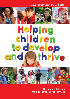Occupational therapy and **Children**



# Helping children to develop and thrive

Occupational therapy *Helping you to live life your way*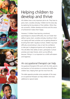

## Helping children to develop and thrive

All children have a very important job to do. They have to grow, learn, socialise and play. Children do this every day by exploring the boundaries of their abilities. When they are successful, children develop and thrive and this sense of achievement makes them happy.

However, if children have learning, emotional, psychological or physical difficulties, this can hinder their ability to grow, learn, socialise and play, resulting in them not coping with basic activities such as getting dressed or brushing their teeth. Equally at school, children may have difficulty concentrating in class or lack the confidence to take part in playground games such as playing catch. This will affect their ability to learn, participate in school activities and make friends, which can be difficult, because 'fitting in' is so important to a child's self-esteem and happiness.

#### An occupational therapist can help

Occupational therapists (OTs) work with the child, parents and teachers to find solutions to minimise the difficulties children face, helping them get the most from life.

The table opposite provides some examples of the ways an occupational therapist can help children who have additional or special needs.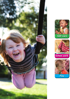





School work

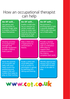## How an occupational therapist can help

| An OT will<br>Use games and<br>daily activities to<br>improve finger skills<br>to enable a child to<br>dress themselves.                                           | An OT will<br>Enable a child who<br>has an aversion to<br>certain smells and<br>tastes to enjoy new<br>foods by improving<br>tolerance to food<br>tastes and smells. | An OT will<br>Recommend a<br>profiling bed to help<br>a severely disabled<br>child to get into and<br>out of bed safely.                                        |
|--------------------------------------------------------------------------------------------------------------------------------------------------------------------|----------------------------------------------------------------------------------------------------------------------------------------------------------------------|-----------------------------------------------------------------------------------------------------------------------------------------------------------------|
| <b>Develop activities</b><br>to increase hand<br>strength and<br>provide equipment<br>to help a child to<br>hold a pencil.                                         | Help a child who<br>is hyperactive to<br>concentrate in<br>lessons.                                                                                                  | Provide a slanted<br>desktop for a child<br>with co-ordination<br>difficulties to<br>support their<br>posture to enable<br>the child to<br>complete their work. |
| Show the parents<br>of a 6-month old<br>baby with poor<br>head control the<br>positioning and<br>support that will<br>enable their baby to<br>play on their tummy. | Guide a child with<br>social difficulties<br>such as autism to<br>participate in games<br>by teaching turn-<br>taking and sharing.                                   | Identify appropriate<br>sensory toys to help<br>a child with limited<br>vision to be able to<br>play.                                                           |

www.cot.co.uk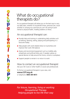## What do occupational therapists do?

An occupational therapist will advise you on the best way to carry out daily tasks, whether it's household chores, personal care, social activities or carrying out a job that you can't do owing to poor mental or physical health, mobility problems or illness.

#### An occupational therapist can:

- $\bullet$  Provide help and training in undertaking daily activities such as bathing, dressing, eating, playing and participating in a favourite hobby
- Help people with work-related stress to re-prioritise and improve their work–life balance
- Assess and recommend equipment such as mobility aids, wheelchairs and artificial limbs and, if needed, advise on special devices to help around the home, school or workplace
- $\bullet$  Support people to remain in or return to work

How to contact an occupational therapist Ask your GP, nurse or other health or social care professionals

To find an occupational therapist in your area, visit: **www.COT.org.uk** or telephone: **0800 389 4873**

*For leisure, learning, living or working Occupational Therapy Helping people to live life their way*